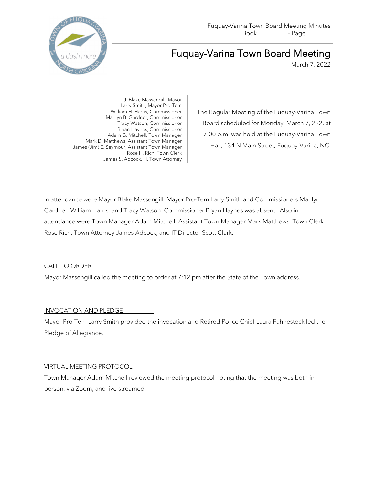

# Fuquay-Varina Town Board Meeting

March 7, 2022

J. Blake Massengill, Mayor Larry Smith, Mayor Pro-Tem William H. Harris, Commissioner Marilyn B. Gardner, Commissioner Tracy Watson, Commissioner Bryan Haynes, Commissioner Adam G. Mitchell, Town Manager Mark D. Matthews, Assistant Town Manager James (Jim) E. Seymour, Assistant Town Manager Rose H. Rich, Town Clerk James S. Adcock, III, Town Attorney

The Regular Meeting of the Fuquay-Varina Town Board scheduled for Monday, March 7, 222, at 7:00 p.m. was held at the Fuquay-Varina Town Hall, 134 N Main Street, Fuquay-Varina, NC.

In attendance were Mayor Blake Massengill, Mayor Pro-Tem Larry Smith and Commissioners Marilyn Gardner, William Harris, and Tracy Watson. Commissioner Bryan Haynes was absent. Also in attendance were Town Manager Adam Mitchell, Assistant Town Manager Mark Matthews, Town Clerk Rose Rich, Town Attorney James Adcock, and IT Director Scott Clark.

# CALL TO ORDER

Mayor Massengill called the meeting to order at 7:12 pm after the State of the Town address.

# INVOCATION AND PLEDGE

Mayor Pro-Tem Larry Smith provided the invocation and Retired Police Chief Laura Fahnestock led the Pledge of Allegiance.

# VIRTUAL MEETING PROTOCOL

Town Manager Adam Mitchell reviewed the meeting protocol noting that the meeting was both inperson, via Zoom, and live streamed.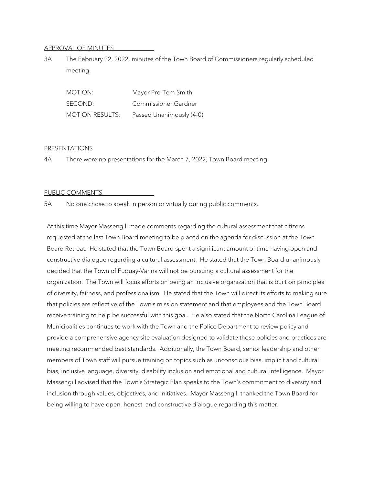#### APPROVAL OF MINUTES

3A The February 22, 2022, minutes of the Town Board of Commissioners regularly scheduled meeting.

| MOTION:                | Mayor Pro-Tem Smith      |
|------------------------|--------------------------|
| SECOND:                | Commissioner Gardner     |
| <b>MOTION RESULTS:</b> | Passed Unanimously (4-0) |

#### PRESENTATIONS

4A There were no presentations for the March 7, 2022, Town Board meeting.

#### PUBLIC COMMENTS

5A No one chose to speak in person or virtually during public comments.

At this time Mayor Massengill made comments regarding the cultural assessment that citizens requested at the last Town Board meeting to be placed on the agenda for discussion at the Town Board Retreat. He stated that the Town Board spent a significant amount of time having open and constructive dialogue regarding a cultural assessment. He stated that the Town Board unanimously decided that the Town of Fuquay-Varina will not be pursuing a cultural assessment for the organization. The Town will focus efforts on being an inclusive organization that is built on principles of diversity, fairness, and professionalism. He stated that the Town will direct its efforts to making sure that policies are reflective of the Town's mission statement and that employees and the Town Board receive training to help be successful with this goal. He also stated that the North Carolina League of Municipalities continues to work with the Town and the Police Department to review policy and provide a comprehensive agency site evaluation designed to validate those policies and practices are meeting recommended best standards. Additionally, the Town Board, senior leadership and other members of Town staff will pursue training on topics such as unconscious bias, implicit and cultural bias, inclusive language, diversity, disability inclusion and emotional and cultural intelligence. Mayor Massengill advised that the Town's Strategic Plan speaks to the Town's commitment to diversity and inclusion through values, objectives, and initiatives. Mayor Massengill thanked the Town Board for being willing to have open, honest, and constructive dialogue regarding this matter.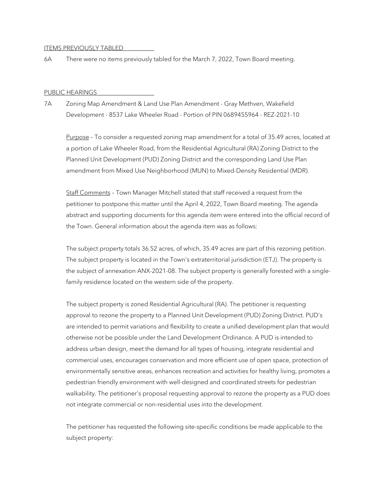#### ITEMS PREVIOUSLY TABLED

6A There were no items previously tabled for the March 7, 2022, Town Board meeting.

#### PUBLIC HEARINGS

7A Zoning Map Amendment & Land Use Plan Amendment - Gray Methven, Wakefield Development - 8537 Lake Wheeler Road - Portion of PIN 0689455964 - REZ-2021-10

Purpose – To consider a requested zoning map amendment for a total of 35.49 acres, located at a portion of Lake Wheeler Road, from the Residential Agricultural (RA) Zoning District to the Planned Unit Development (PUD) Zoning District and the corresponding Land Use Plan amendment from Mixed Use Neighborhood (MUN) to Mixed-Density Residential (MDR).

Staff Comments – Town Manager Mitchell stated that staff received a request from the petitioner to postpone this matter until the April 4, 2022, Town Board meeting. The agenda abstract and supporting documents for this agenda item were entered into the official record of the Town. General information about the agenda item was as follows:

The subject property totals 36.52 acres, of which, 35.49 acres are part of this rezoning petition. The subject property is located in the Town's extraterritorial jurisdiction (ETJ). The property is the subject of annexation ANX-2021-08. The subject property is generally forested with a singlefamily residence located on the western side of the property.

The subject property is zoned Residential Agricultural (RA). The petitioner is requesting approval to rezone the property to a Planned Unit Development (PUD) Zoning District. PUD's are intended to permit variations and flexibility to create a unified development plan that would otherwise not be possible under the Land Development Ordinance. A PUD is intended to address urban design, meet the demand for all types of housing, integrate residential and commercial uses, encourages conservation and more efficient use of open space, protection of environmentally sensitive areas, enhances recreation and activities for healthy living, promotes a pedestrian friendly environment with well-designed and coordinated streets for pedestrian walkability. The petitioner's proposal requesting approval to rezone the property as a PUD does not integrate commercial or non-residential uses into the development.

The petitioner has requested the following site-specific conditions be made applicable to the subject property: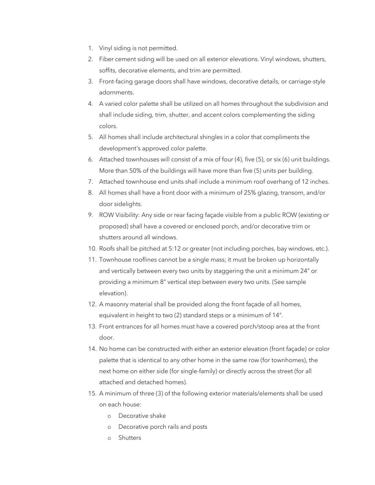- 1. Vinyl siding is not permitted.
- 2. Fiber cement siding will be used on all exterior elevations. Vinyl windows, shutters, soffits, decorative elements, and trim are permitted.
- 3. Front-facing garage doors shall have windows, decorative details, or carriage-style adornments.
- 4. A varied color palette shall be utilized on all homes throughout the subdivision and shall include siding, trim, shutter, and accent colors complementing the siding colors.
- 5. All homes shall include architectural shingles in a color that compliments the development's approved color palette.
- 6. Attached townhouses will consist of a mix of four (4), five (5), or six (6) unit buildings. More than 50% of the buildings will have more than five (5) units per building.
- 7. Attached townhouse end units shall include a minimum roof overhang of 12 inches.
- 8. All homes shall have a front door with a minimum of 25% glazing, transom, and/or door sidelights.
- 9. ROW Visibility: Any side or rear facing façade visible from a public ROW (existing or proposed) shall have a covered or enclosed porch, and/or decorative trim or shutters around all windows.
- 10. Roofs shall be pitched at 5:12 or greater (not including porches, bay windows, etc.).
- 11. Townhouse rooflines cannot be a single mass; it must be broken up horizontally and vertically between every two units by staggering the unit a minimum 24" or providing a minimum 8" vertical step between every two units. (See sample elevation).
- 12. A masonry material shall be provided along the front façade of all homes, equivalent in height to two (2) standard steps or a minimum of 14".
- 13. Front entrances for all homes must have a covered porch/stoop area at the front door.
- 14. No home can be constructed with either an exterior elevation (front façade) or color palette that is identical to any other home in the same row (for townhomes), the next home on either side (for single-family) or directly across the street (for all attached and detached homes).
- 15. A minimum of three (3) of the following exterior materials/elements shall be used on each house:
	- o Decorative shake
	- o Decorative porch rails and posts
	- o Shutters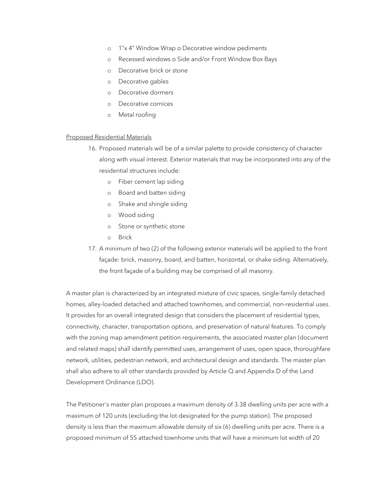- o 1"x 4" Window Wrap o Decorative window pediments
- o Recessed windows o Side and/or Front Window Box Bays
- o Decorative brick or stone
- o Decorative gables
- o Decorative dormers
- o Decorative cornices
- o Metal roofing

#### Proposed Residential Materials

- 16. Proposed materials will be of a similar palette to provide consistency of character along with visual interest. Exterior materials that may be incorporated into any of the residential structures include:
	- o Fiber cement lap siding
	- o Board and batten siding
	- o Shake and shingle siding
	- o Wood siding
	- o Stone or synthetic stone
	- o Brick
- 17. A minimum of two (2) of the following exterior materials will be applied to the front façade: brick, masonry, board, and batten, horizontal, or shake siding. Alternatively, the front façade of a building may be comprised of all masonry.

A master plan is characterized by an integrated mixture of civic spaces, single-family detached homes, alley-loaded detached and attached townhomes, and commercial, non-residential uses. It provides for an overall integrated design that considers the placement of residential types, connectivity, character, transportation options, and preservation of natural features. To comply with the zoning map amendment petition requirements, the associated master plan (document and related maps) shall identify permitted uses, arrangement of uses, open space, thoroughfare network, utilities, pedestrian network, and architectural design and standards. The master plan shall also adhere to all other standards provided by Article Q and Appendix D of the Land Development Ordinance (LDO).

The Petitioner's master plan proposes a maximum density of 3.38 dwelling units per acre with a maximum of 120 units (excluding the lot designated for the pump station). The proposed density is less than the maximum allowable density of six (6) dwelling units per acre. There is a proposed minimum of 55 attached townhome units that will have a minimum lot width of 20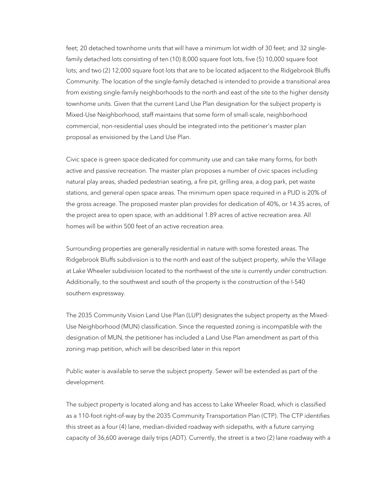feet; 20 detached townhome units that will have a minimum lot width of 30 feet; and 32 singlefamily detached lots consisting of ten (10) 8,000 square foot lots, five (5) 10,000 square foot lots; and two (2) 12,000 square foot lots that are to be located adjacent to the Ridgebrook Bluffs Community. The location of the single-family detached is intended to provide a transitional area from existing single-family neighborhoods to the north and east of the site to the higher density townhome units. Given that the current Land Use Plan designation for the subject property is Mixed-Use Neighborhood, staff maintains that some form of small-scale, neighborhood commercial, non-residential uses should be integrated into the petitioner's master plan proposal as envisioned by the Land Use Plan.

Civic space is green space dedicated for community use and can take many forms, for both active and passive recreation. The master plan proposes a number of civic spaces including natural play areas, shaded pedestrian seating, a fire pit, grilling area, a dog park, pet waste stations, and general open space areas. The minimum open space required in a PUD is 20% of the gross acreage. The proposed master plan provides for dedication of 40%, or 14.35 acres, of the project area to open space, with an additional 1.89 acres of active recreation area. All homes will be within 500 feet of an active recreation area.

Surrounding properties are generally residential in nature with some forested areas. The Ridgebrook Bluffs subdivision is to the north and east of the subject property, while the Village at Lake Wheeler subdivision located to the northwest of the site is currently under construction. Additionally, to the southwest and south of the property is the construction of the I-540 southern expressway.

The 2035 Community Vision Land Use Plan (LUP) designates the subject property as the Mixed-Use Neighborhood (MUN) classification. Since the requested zoning is incompatible with the designation of MUN, the petitioner has included a Land Use Plan amendment as part of this zoning map petition, which will be described later in this report

Public water is available to serve the subject property. Sewer will be extended as part of the development.

The subject property is located along and has access to Lake Wheeler Road, which is classified as a 110-foot right-of-way by the 2035 Community Transportation Plan (CTP). The CTP identifies this street as a four (4) lane, median-divided roadway with sidepaths, with a future carrying capacity of 36,600 average daily trips (ADT). Currently, the street is a two (2) lane roadway with a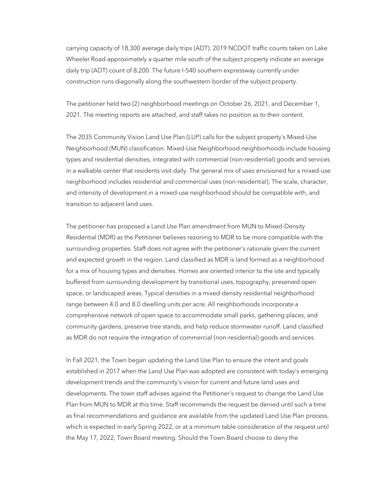carrying capacity of 18,300 average daily trips (ADT). 2019 NCDOT traffic counts taken on Lake Wheeler Road approximately a quarter mile south of the subject property indicate an average daily trip (ADT) count of 8,200. The future I-540 southern expressway currently under construction runs diagonally along the southwestern border of the subject property.

The petitioner held two (2) neighborhood meetings on October 26, 2021, and December 1, 2021. The meeting reports are attached, and staff takes no position as to their content.

The 2035 Community Vision Land Use Plan (LUP) calls for the subject property's Mixed-Use Neighborhood (MUN) classification. Mixed-Use Neighborhood neighborhoods include housing types and residential densities, integrated with commercial (non-residential) goods and services in a walkable center that residents visit daily. The general mix of uses envisioned for a mixed-use neighborhood includes residential and commercial uses (non-residential); The scale, character, and intensity of development in a mixed-use neighborhood should be compatible with, and transition to adjacent land uses.

The petitioner has proposed a Land Use Plan amendment from MUN to Mixed-Density Residential (MDR) as the Petitioner believes rezoning to MDR to be more compatible with the surrounding properties. Staff does not agree with the petitioner's rationale given the current and expected growth in the region. Land classified as MDR is land formed as a neighborhood for a mix of housing types and densities. Homes are oriented interior to the site and typically buffered from surrounding development by transitional uses, topography, preserved open space, or landscaped areas. Typical densities in a mixed-density residential neighborhood range between 4.0 and 8.0 dwelling units per acre. All neighborhoods incorporate a comprehensive network of open space to accommodate small parks, gathering places, and community gardens, preserve tree stands, and help reduce stormwater runoff. Land classified as MDR do not require the integration of commercial (non-residential) goods and services.

In Fall 2021, the Town began updating the Land Use Plan to ensure the intent and goals established in 2017 when the Land Use Plan was adopted are consistent with today's emerging development trends and the community's vision for current and future land uses and developments. The town staff advises against the Petitioner's request to change the Land Use Plan from MUN to MDR at this time. Staff recommends the request be denied until such a time as final recommendations and guidance are available from the updated Land Use Plan process, which is expected in early Spring 2022, or at a minimum table consideration of the request until the May 17, 2022, Town Board meeting. Should the Town Board choose to deny the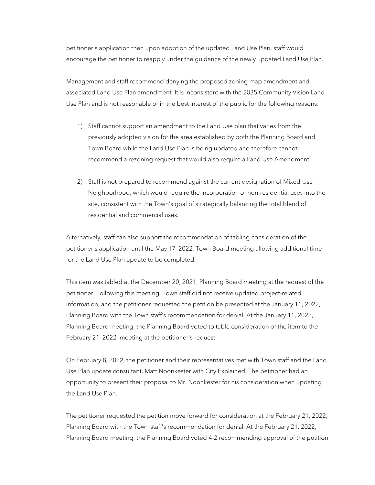petitioner's application then upon adoption of the updated Land Use Plan, staff would encourage the petitioner to reapply under the guidance of the newly updated Land Use Plan.

Management and staff recommend denying the proposed zoning map amendment and associated Land Use Plan amendment. It is inconsistent with the 2035 Community Vision Land Use Plan and is not reasonable or in the best interest of the public for the following reasons:

- 1) Staff cannot support an amendment to the Land Use plan that varies from the previously adopted vision for the area established by both the Planning Board and Town Board while the Land Use Plan is being updated and therefore cannot recommend a rezoning request that would also require a Land Use Amendment.
- 2) Staff is not prepared to recommend against the current designation of Mixed-Use Neighborhood, which would require the incorporation of non-residential uses into the site, consistent with the Town's goal of strategically balancing the total blend of residential and commercial uses.

Alternatively, staff can also support the recommendation of tabling consideration of the petitioner's application until the May 17, 2022, Town Board meeting allowing additional time for the Land Use Plan update to be completed.

This item was tabled at the December 20, 2021, Planning Board meeting at the request of the petitioner. Following this meeting, Town staff did not receive updated project-related information, and the petitioner requested the petition be presented at the January 11, 2022, Planning Board with the Town staff's recommendation for denial. At the January 11, 2022, Planning Board meeting, the Planning Board voted to table consideration of the item to the February 21, 2022, meeting at the petitioner's request.

On February 8, 2022, the petitioner and their representatives met with Town staff and the Land Use Plan update consultant, Matt Noonkester with City Explained. The petitioner had an opportunity to present their proposal to Mr. Noonkester for his consideration when updating the Land Use Plan.

The petitioner requested the petition move forward for consideration at the February 21, 2022, Planning Board with the Town staff's recommendation for denial. At the February 21, 2022, Planning Board meeting, the Planning Board voted 4-2 recommending approval of the petition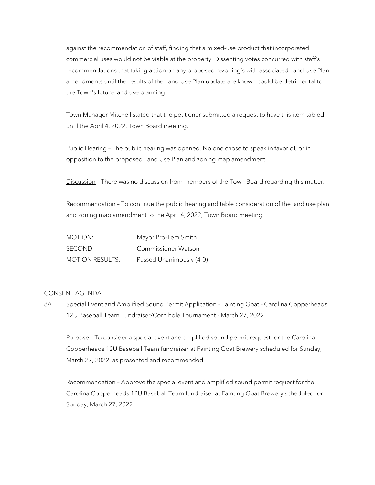against the recommendation of staff, finding that a mixed-use product that incorporated commercial uses would not be viable at the property. Dissenting votes concurred with staff's recommendations that taking action on any proposed rezoning's with associated Land Use Plan amendments until the results of the Land Use Plan update are known could be detrimental to the Town's future land use planning.

Town Manager Mitchell stated that the petitioner submitted a request to have this item tabled until the April 4, 2022, Town Board meeting.

Public Hearing – The public hearing was opened. No one chose to speak in favor of, or in opposition to the proposed Land Use Plan and zoning map amendment.

Discussion - There was no discussion from members of the Town Board regarding this matter.

Recommendation - To continue the public hearing and table consideration of the land use plan and zoning map amendment to the April 4, 2022, Town Board meeting.

| MOTION:                | Mayor Pro-Tem Smith      |
|------------------------|--------------------------|
| SECOND:                | Commissioner Watson      |
| <b>MOTION RESULTS:</b> | Passed Unanimously (4-0) |

#### CONSENT AGENDA

8A Special Event and Amplified Sound Permit Application - Fainting Goat - Carolina Copperheads 12U Baseball Team Fundraiser/Corn hole Tournament - March 27, 2022

Purpose – To consider a special event and amplified sound permit request for the Carolina Copperheads 12U Baseball Team fundraiser at Fainting Goat Brewery scheduled for Sunday, March 27, 2022, as presented and recommended.

Recommendation – Approve the special event and amplified sound permit request for the Carolina Copperheads 12U Baseball Team fundraiser at Fainting Goat Brewery scheduled for Sunday, March 27, 2022.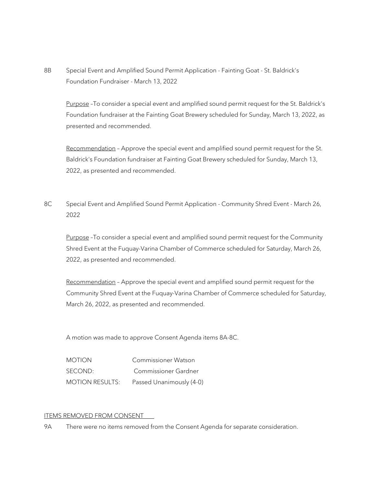8B Special Event and Amplified Sound Permit Application - Fainting Goat - St. Baldrick's Foundation Fundraiser - March 13, 2022

Purpose –To consider a special event and amplified sound permit request for the St. Baldrick's Foundation fundraiser at the Fainting Goat Brewery scheduled for Sunday, March 13, 2022, as presented and recommended.

Recommendation - Approve the special event and amplified sound permit request for the St. Baldrick's Foundation fundraiser at Fainting Goat Brewery scheduled for Sunday, March 13, 2022, as presented and recommended.

8C Special Event and Amplified Sound Permit Application - Community Shred Event - March 26, 2022

Purpose -To consider a special event and amplified sound permit request for the Community Shred Event at the Fuquay-Varina Chamber of Commerce scheduled for Saturday, March 26, 2022, as presented and recommended.

Recommendation – Approve the special event and amplified sound permit request for the Community Shred Event at the Fuquay-Varina Chamber of Commerce scheduled for Saturday, March 26, 2022, as presented and recommended.

A motion was made to approve Consent Agenda items 8A-8C.

| <b>MOTION</b>          | Commissioner Watson      |
|------------------------|--------------------------|
| SECOND:                | Commissioner Gardner     |
| <b>MOTION RESULTS:</b> | Passed Unanimously (4-0) |

# ITEMS REMOVED FROM CONSENT

9A There were no items removed from the Consent Agenda for separate consideration.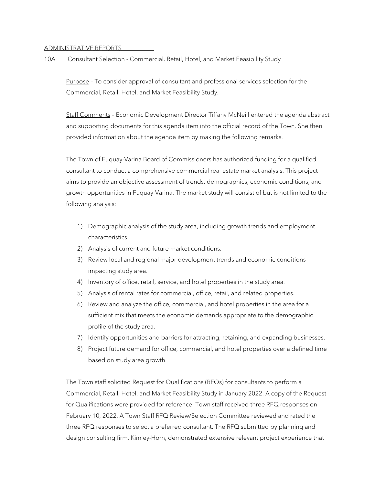#### ADMINISTRATIVE REPORTS

10A Consultant Selection - Commercial, Retail, Hotel, and Market Feasibility Study

Purpose – To consider approval of consultant and professional services selection for the Commercial, Retail, Hotel, and Market Feasibility Study.

Staff Comments – Economic Development Director Tiffany McNeill entered the agenda abstract and supporting documents for this agenda item into the official record of the Town. She then provided information about the agenda item by making the following remarks.

The Town of Fuquay-Varina Board of Commissioners has authorized funding for a qualified consultant to conduct a comprehensive commercial real estate market analysis. This project aims to provide an objective assessment of trends, demographics, economic conditions, and growth opportunities in Fuquay-Varina. The market study will consist of but is not limited to the following analysis:

- 1) Demographic analysis of the study area, including growth trends and employment characteristics.
- 2) Analysis of current and future market conditions.
- 3) Review local and regional major development trends and economic conditions impacting study area.
- 4) Inventory of office, retail, service, and hotel properties in the study area.
- 5) Analysis of rental rates for commercial, office, retail, and related properties.
- 6) Review and analyze the office, commercial, and hotel properties in the area for a sufficient mix that meets the economic demands appropriate to the demographic profile of the study area.
- 7) Identify opportunities and barriers for attracting, retaining, and expanding businesses.
- 8) Project future demand for office, commercial, and hotel properties over a defined time based on study area growth.

The Town staff solicited Request for Qualifications (RFQs) for consultants to perform a Commercial, Retail, Hotel, and Market Feasibility Study in January 2022. A copy of the Request for Qualifications were provided for reference. Town staff received three RFQ responses on February 10, 2022. A Town Staff RFQ Review/Selection Committee reviewed and rated the three RFQ responses to select a preferred consultant. The RFQ submitted by planning and design consulting firm, Kimley-Horn, demonstrated extensive relevant project experience that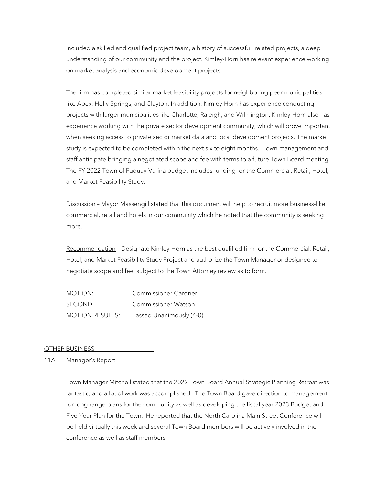included a skilled and qualified project team, a history of successful, related projects, a deep understanding of our community and the project. Kimley-Horn has relevant experience working on market analysis and economic development projects.

The firm has completed similar market feasibility projects for neighboring peer municipalities like Apex, Holly Springs, and Clayton. In addition, Kimley-Horn has experience conducting projects with larger municipalities like Charlotte, Raleigh, and Wilmington. Kimley-Horn also has experience working with the private sector development community, which will prove important when seeking access to private sector market data and local development projects. The market study is expected to be completed within the next six to eight months. Town management and staff anticipate bringing a negotiated scope and fee with terms to a future Town Board meeting. The FY 2022 Town of Fuquay-Varina budget includes funding for the Commercial, Retail, Hotel, and Market Feasibility Study.

Discussion - Mayor Massengill stated that this document will help to recruit more business-like commercial, retail and hotels in our community which he noted that the community is seeking more.

Recommendation – Designate Kimley-Horn as the best qualified firm for the Commercial, Retail, Hotel, and Market Feasibility Study Project and authorize the Town Manager or designee to negotiate scope and fee, subject to the Town Attorney review as to form.

MOTION: Commissioner Gardner SECOND: Commissioner Watson MOTION RESULTS: Passed Unanimously (4-0)

#### OTHER BUSINESS

11A Manager's Report

Town Manager Mitchell stated that the 2022 Town Board Annual Strategic Planning Retreat was fantastic, and a lot of work was accomplished. The Town Board gave direction to management for long range plans for the community as well as developing the fiscal year 2023 Budget and Five-Year Plan for the Town. He reported that the North Carolina Main Street Conference will be held virtually this week and several Town Board members will be actively involved in the conference as well as staff members.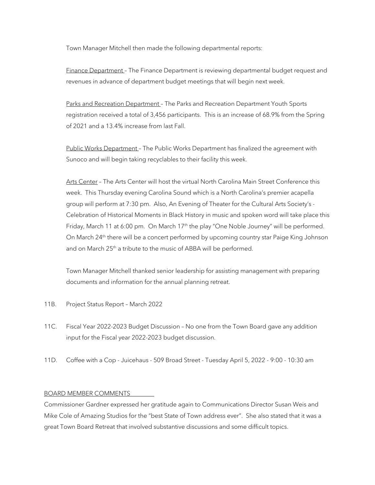Town Manager Mitchell then made the following departmental reports:

Finance Department - The Finance Department is reviewing departmental budget request and revenues in advance of department budget meetings that will begin next week.

Parks and Recreation Department - The Parks and Recreation Department Youth Sports registration received a total of 3,456 participants. This is an increase of 68.9% from the Spring of 2021 and a 13.4% increase from last Fall.

Public Works Department - The Public Works Department has finalized the agreement with Sunoco and will begin taking recyclables to their facility this week.

Arts Center – The Arts Center will host the virtual North Carolina Main Street Conference this week. This Thursday evening Carolina Sound which is a North Carolina's premier acapella group will perform at 7:30 pm. Also, An Evening of Theater for the Cultural Arts Society's - Celebration of Historical Moments in Black History in music and spoken word will take place this Friday, March 11 at 6:00 pm. On March  $17<sup>th</sup>$  the play "One Noble Journey" will be performed. On March 24<sup>th</sup> there will be a concert performed by upcoming country star Paige King Johnson and on March  $25<sup>th</sup>$  a tribute to the music of ABBA will be performed.

Town Manager Mitchell thanked senior leadership for assisting management with preparing documents and information for the annual planning retreat.

- 11B. Project Status Report March 2022
- 11C. Fiscal Year 2022-2023 Budget Discussion No one from the Town Board gave any addition input for the Fiscal year 2022-2023 budget discussion.
- 11D. Coffee with a Cop Juicehaus 509 Broad Street Tuesday April 5, 2022 9:00 10:30 am

# BOARD MEMBER COMMENTS

Commissioner Gardner expressed her gratitude again to Communications Director Susan Weis and Mike Cole of Amazing Studios for the "best State of Town address ever". She also stated that it was a great Town Board Retreat that involved substantive discussions and some difficult topics.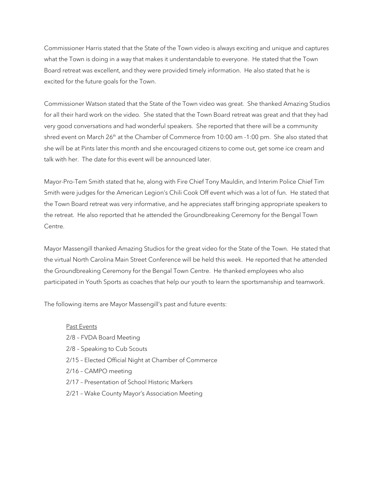Commissioner Harris stated that the State of the Town video is always exciting and unique and captures what the Town is doing in a way that makes it understandable to everyone. He stated that the Town Board retreat was excellent, and they were provided timely information. He also stated that he is excited for the future goals for the Town.

Commissioner Watson stated that the State of the Town video was great. She thanked Amazing Studios for all their hard work on the video. She stated that the Town Board retreat was great and that they had very good conversations and had wonderful speakers. She reported that there will be a community shred event on March 26<sup>th</sup> at the Chamber of Commerce from 10:00 am -1:00 pm. She also stated that she will be at Pints later this month and she encouraged citizens to come out, get some ice cream and talk with her. The date for this event will be announced later.

Mayor-Pro-Tem Smith stated that he, along with Fire Chief Tony Mauldin, and Interim Police Chief Tim Smith were judges for the American Legion's Chili Cook Off event which was a lot of fun. He stated that the Town Board retreat was very informative, and he appreciates staff bringing appropriate speakers to the retreat. He also reported that he attended the Groundbreaking Ceremony for the Bengal Town Centre.

Mayor Massengill thanked Amazing Studios for the great video for the State of the Town. He stated that the virtual North Carolina Main Street Conference will be held this week. He reported that he attended the Groundbreaking Ceremony for the Bengal Town Centre. He thanked employees who also participated in Youth Sports as coaches that help our youth to learn the sportsmanship and teamwork.

The following items are Mayor Massengill's past and future events:

#### Past Events

2/8 – FVDA Board Meeting 2/8 – Speaking to Cub Scouts 2/15 – Elected Official Night at Chamber of Commerce 2/16 – CAMPO meeting 2/17 – Presentation of School Historic Markers 2/21 – Wake County Mayor's Association Meeting